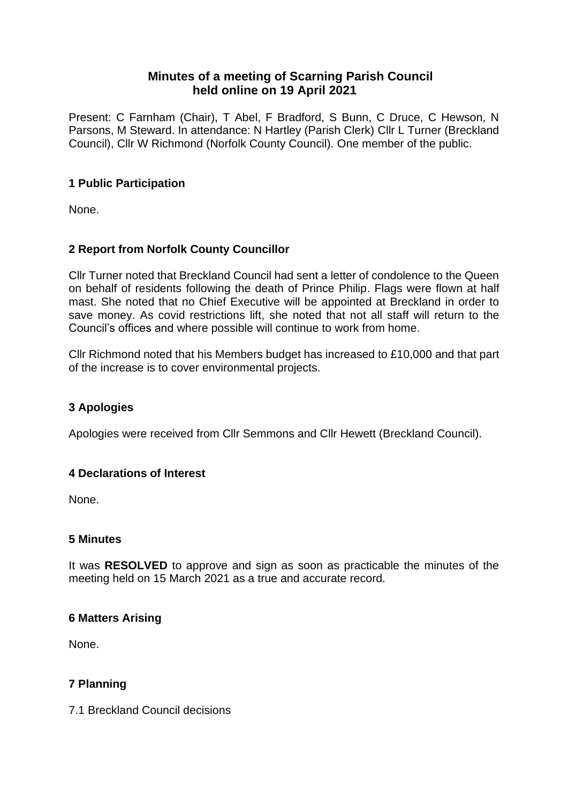# **Minutes of a meeting of Scarning Parish Council held online on 19 April 2021**

Present: C Farnham (Chair), T Abel, F Bradford, S Bunn, C Druce, C Hewson, N Parsons, M Steward. In attendance: N Hartley (Parish Clerk) Cllr L Turner (Breckland Council), Cllr W Richmond (Norfolk County Council). One member of the public.

## **1 Public Participation**

None.

# **2 Report from Norfolk County Councillor**

Cllr Turner noted that Breckland Council had sent a letter of condolence to the Queen on behalf of residents following the death of Prince Philip. Flags were flown at half mast. She noted that no Chief Executive will be appointed at Breckland in order to save money. As covid restrictions lift, she noted that not all staff will return to the Council's offices and where possible will continue to work from home.

Cllr Richmond noted that his Members budget has increased to £10,000 and that part of the increase is to cover environmental projects.

# **3 Apologies**

Apologies were received from Cllr Semmons and Cllr Hewett (Breckland Council).

#### **4 Declarations of Interest**

None.

#### **5 Minutes**

It was **RESOLVED** to approve and sign as soon as practicable the minutes of the meeting held on 15 March 2021 as a true and accurate record.

#### **6 Matters Arising**

None.

#### **7 Planning**

7.1 Breckland Council decisions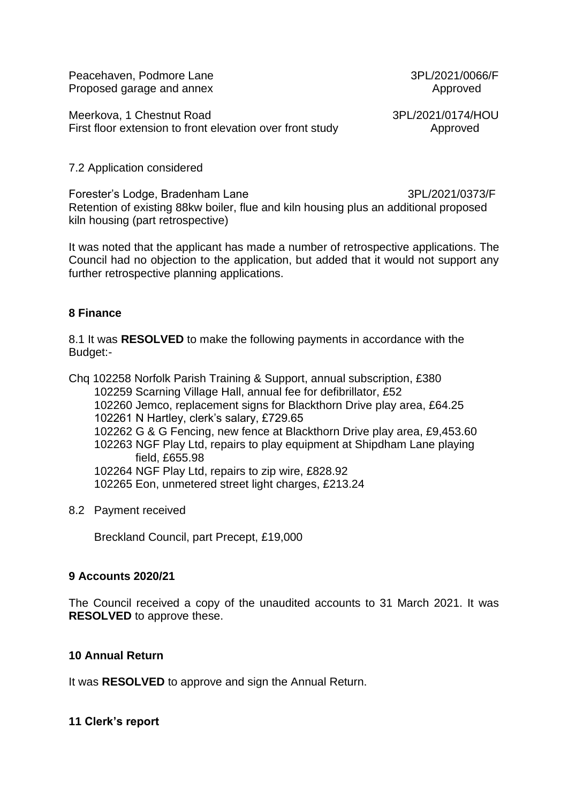Peacehaven, Podmore Lane 3PL/2021/0066/F Proposed garage and annex **Approved** 

Meerkova, 1 Chestnut Road 3PL/2021/0174/HOU First floor extension to front elevation over front study Approved

#### 7.2 Application considered

Forester's Lodge, Bradenham Lane 3PL/2021/0373/F Retention of existing 88kw boiler, flue and kiln housing plus an additional proposed kiln housing (part retrospective)

It was noted that the applicant has made a number of retrospective applications. The Council had no objection to the application, but added that it would not support any further retrospective planning applications.

#### **8 Finance**

8.1 It was **RESOLVED** to make the following payments in accordance with the Budget:-

Chq 102258 Norfolk Parish Training & Support, annual subscription, £380 102259 Scarning Village Hall, annual fee for defibrillator, £52 102260 Jemco, replacement signs for Blackthorn Drive play area, £64.25 102261 N Hartley, clerk's salary, £729.65 102262 G & G Fencing, new fence at Blackthorn Drive play area, £9,453.60 102263 NGF Play Ltd, repairs to play equipment at Shipdham Lane playing field, £655.98 102264 NGF Play Ltd, repairs to zip wire, £828.92 102265 Eon, unmetered street light charges, £213.24

8.2 Payment received

Breckland Council, part Precept, £19,000

#### **9 Accounts 2020/21**

The Council received a copy of the unaudited accounts to 31 March 2021. It was **RESOLVED** to approve these.

#### **10 Annual Return**

It was **RESOLVED** to approve and sign the Annual Return.

#### **11 Clerk's report**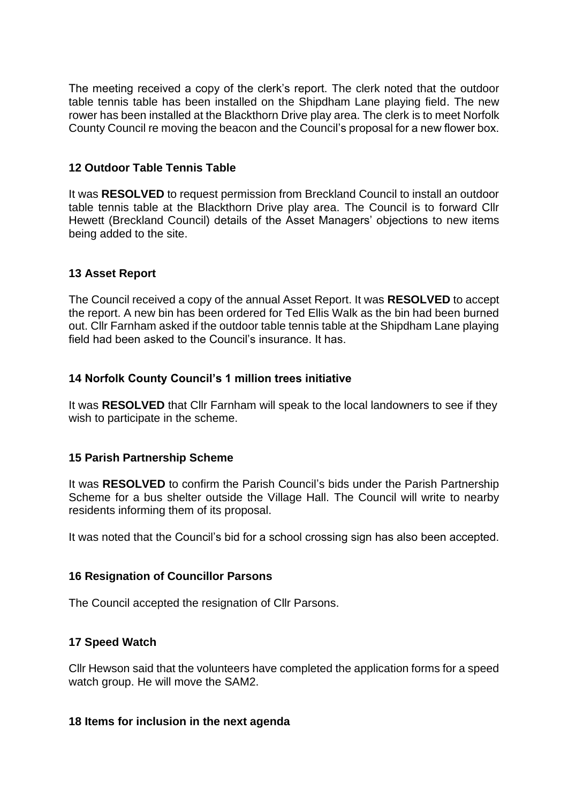The meeting received a copy of the clerk's report. The clerk noted that the outdoor table tennis table has been installed on the Shipdham Lane playing field. The new rower has been installed at the Blackthorn Drive play area. The clerk is to meet Norfolk County Council re moving the beacon and the Council's proposal for a new flower box.

### **12 Outdoor Table Tennis Table**

It was **RESOLVED** to request permission from Breckland Council to install an outdoor table tennis table at the Blackthorn Drive play area. The Council is to forward Cllr Hewett (Breckland Council) details of the Asset Managers' objections to new items being added to the site.

## **13 Asset Report**

The Council received a copy of the annual Asset Report. It was **RESOLVED** to accept the report. A new bin has been ordered for Ted Ellis Walk as the bin had been burned out. Cllr Farnham asked if the outdoor table tennis table at the Shipdham Lane playing field had been asked to the Council's insurance. It has.

## **14 Norfolk County Council's 1 million trees initiative**

It was **RESOLVED** that Cllr Farnham will speak to the local landowners to see if they wish to participate in the scheme.

#### **15 Parish Partnership Scheme**

It was **RESOLVED** to confirm the Parish Council's bids under the Parish Partnership Scheme for a bus shelter outside the Village Hall. The Council will write to nearby residents informing them of its proposal.

It was noted that the Council's bid for a school crossing sign has also been accepted.

#### **16 Resignation of Councillor Parsons**

The Council accepted the resignation of Cllr Parsons.

#### **17 Speed Watch**

Cllr Hewson said that the volunteers have completed the application forms for a speed watch group. He will move the SAM2.

#### **18 Items for inclusion in the next agenda**